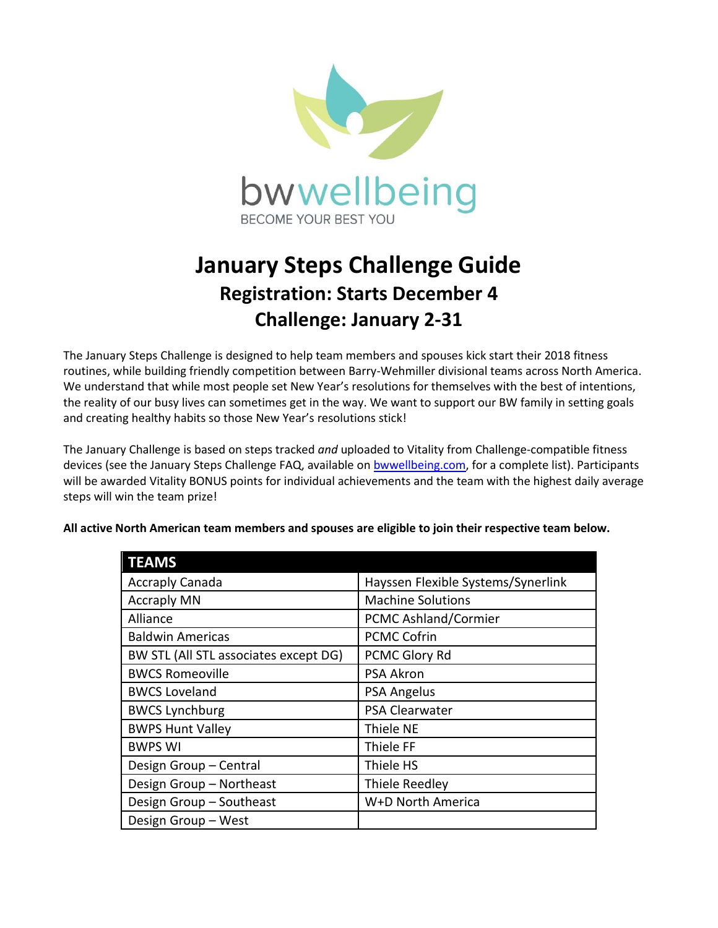

## **January Steps Challenge Guide Registration: Starts December 4 Challenge: January 2-31**

The January Steps Challenge is designed to help team members and spouses kick start their 2018 fitness routines, while building friendly competition between Barry-Wehmiller divisional teams across North America. We understand that while most people set New Year's resolutions for themselves with the best of intentions, the reality of our busy lives can sometimes get in the way. We want to support our BW family in setting goals and creating healthy habits so those New Year's resolutions stick!

The January Challenge is based on steps tracked *and* uploaded to Vitality from Challenge-compatible fitness devices (see the January Steps Challenge FAQ, available o[n bwwellbeing.com,](http://www.bwwellbeing.com/) for a complete list). Participants will be awarded Vitality BONUS points for individual achievements and the team with the highest daily average steps will win the team prize!

| <b>TEAMS</b>                          |                                    |
|---------------------------------------|------------------------------------|
| <b>Accraply Canada</b>                | Hayssen Flexible Systems/Synerlink |
| <b>Accraply MN</b>                    | <b>Machine Solutions</b>           |
| Alliance                              | <b>PCMC Ashland/Cormier</b>        |
| <b>Baldwin Americas</b>               | <b>PCMC Cofrin</b>                 |
| BW STL (All STL associates except DG) | PCMC Glory Rd                      |
| <b>BWCS Romeoville</b>                | PSA Akron                          |
| <b>BWCS Loveland</b>                  | PSA Angelus                        |
| <b>BWCS Lynchburg</b>                 | PSA Clearwater                     |
| <b>BWPS Hunt Valley</b>               | Thiele NE                          |
| <b>BWPS WI</b>                        | Thiele FF                          |
| Design Group - Central                | Thiele HS                          |
| Design Group - Northeast              | Thiele Reedley                     |
| Design Group - Southeast              | W+D North America                  |
| Design Group - West                   |                                    |

**All active North American team members and spouses are eligible to join their respective team below.**